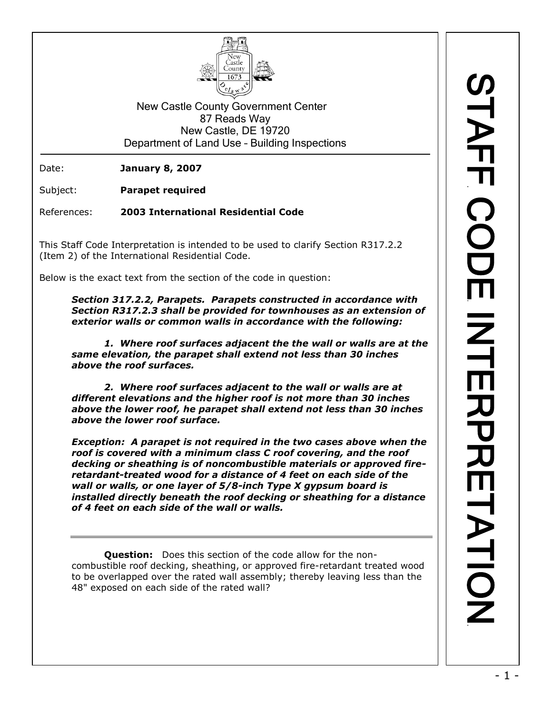

New Castle County Government Center 87 Reads Way New Castle, DE 19720 Department of Land Use – Building Inspections

Date: **January 8, 2007**

Subject: **Parapet required**

References: **2003 International Residential Code**

This Staff Code Interpretation is intended to be used to clarify Section R317.2.2 (Item 2) of the International Residential Code.

Below is the exact text from the section of the code in question:

*Section 317.2.2, Parapets. Parapets constructed in accordance with Section R317.2.3 shall be provided for townhouses as an extension of exterior walls or common walls in accordance with the following:*

*1. Where roof surfaces adjacent the the wall or walls are at the same elevation, the parapet shall extend not less than 30 inches above the roof surfaces.*

*2. Where roof surfaces adjacent to the wall or walls are at different elevations and the higher roof is not more than 30 inches above the lower roof, he parapet shall extend not less than 30 inches above the lower roof surface.*

*Exception: A parapet is not required in the two cases above when the roof is covered with a minimum class C roof covering, and the roof decking or sheathing is of noncombustible materials or approved fireretardant-treated wood for a distance of 4 feet on each side of the wall or walls, or one layer of 5/8-inch Type X gypsum board is installed directly beneath the roof decking or sheathing for a distance of 4 feet on each side of the wall or walls.*

**Question:** Does this section of the code allow for the noncombustible roof decking, sheathing, or approved fire-retardant treated wood to be overlapped over the rated wall assembly; thereby leaving less than the 48" exposed on each side of the rated wall?